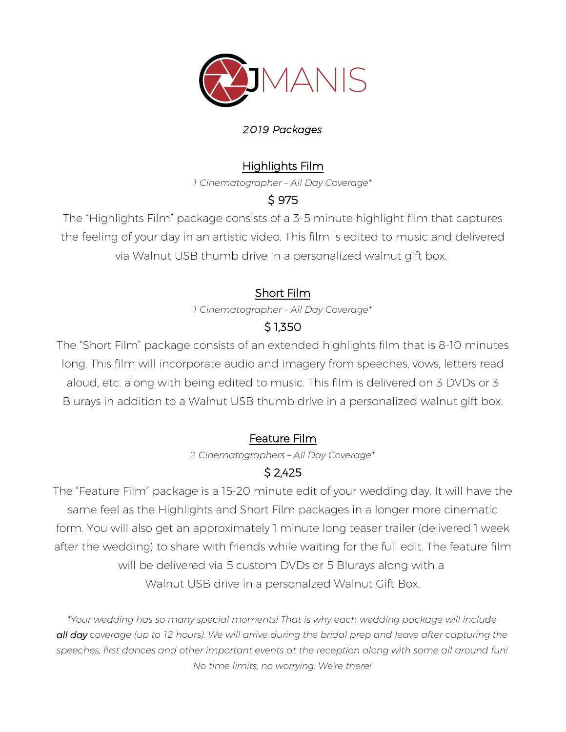

#### *2019 Packages*

### Highlights Film

*1 Cinematographer – All Day Coverage\**

### \$ 975

The "Highlights Film" package consists of a 3-5 minute highlight film that captures the feeling of your day in an artistic video. This film is edited to music and delivered via Walnut USB thumb drive in a personalized walnut gift box.

# Short Film

*1 Cinematographer – All Day Coverage\**

# \$ 1,350

The "Short Film" package consists of an extended highlights film that is 8-10 minutes long. This film will incorporate audio and imagery from speeches, vows, letters read aloud, etc. along with being edited to music. This film is delivered on 3 DVDs or 3 Blurays in addition to a Walnut USB thumb drive in a personalized walnut gift box.

### Feature Film

*2 Cinematographers – All Day Coverage\**

# \$ 2,425

The "Feature Film" package is a 15-20 minute edit of your wedding day. It will have the same feel as the Highlights and Short Film packages in a longer more cinematic form. You will also get an approximately 1 minute long teaser trailer (delivered 1 week after the wedding) to share with friends while waiting for the full edit. The feature film will be delivered via 5 custom DVDs or 5 Blurays along with a Walnut USB drive in a personalzed Walnut Gift Box.

*\*Your wedding has so many special moments! That is why each wedding package will include all day coverage (up to 12 hours). We will arrive during the bridal prep and leave after capturing the speeches, first dances and other important events at the reception along with some all around fun! No time limits, no worrying. We're there!*